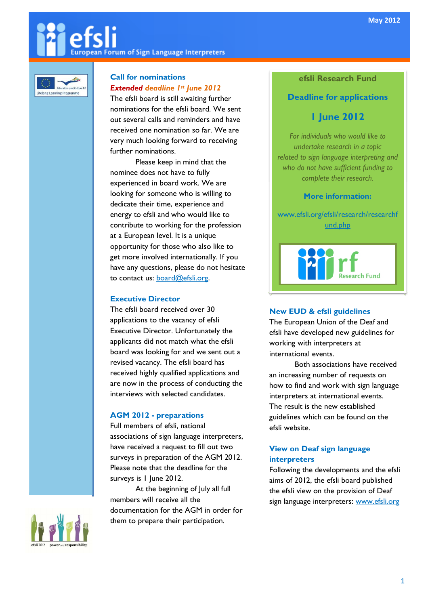# European Forum of Sign Language Interpreters



# Call for nominations Extended deadline 1st June 2012

The efsli board is still awaiting further nominations for the efsli board. We sent out several calls and reminders and have received one nomination so far. We are very much looking forward to receiving further nominations.

Please keep in mind that the nominee does not have to fully experienced in board work. We are looking for someone who is willing to dedicate their time, experience and energy to efsli and who would like to contribute to working for the profession at a European level. It is a unique opportunity for those who also like to get more involved internationally. If you have any questions, please do not hesitate to contact us: **board@efsli.org**.

#### Executive Director

The efsli board received over 30 applications to the vacancy of efsli Executive Director. Unfortunately the applicants did not match what the efsli board was looking for and we sent out a revised vacancy. The efsli board has received highly qualified applications and are now in the process of conducting the interviews with selected candidates.

## AGM 2012 - preparations

Full members of efsli, national associations of sign language interpreters, have received a request to fill out two surveys in preparation of the AGM 2012. Please note that the deadline for the surveys is 1 June 2012.

At the beginning of July all full members will receive all the documentation for the AGM in order for them to prepare their participation.

# efsli Research Fund

# Deadline for applications

# 1 June 2012

For individuals who would like to undertake research in a topic related to sign language interpreting and who do not have sufficient funding to complete their research.

#### More information:

www.efsli.org/efsli/research/researchf und.php



## New EUD & efsli guidelines

The European Union of the Deaf and efsli have developed new guidelines for working with interpreters at international events.

Both associations have received an increasing number of requests on how to find and work with sign language interpreters at international events. The result is the new established guidelines which can be found on the efsli website.

## View on Deaf sign language interpreters

Following the developments and the efsli aims of 2012, the efsli board published the efsli view on the provision of Deaf sign language interpreters: www.efsli.org

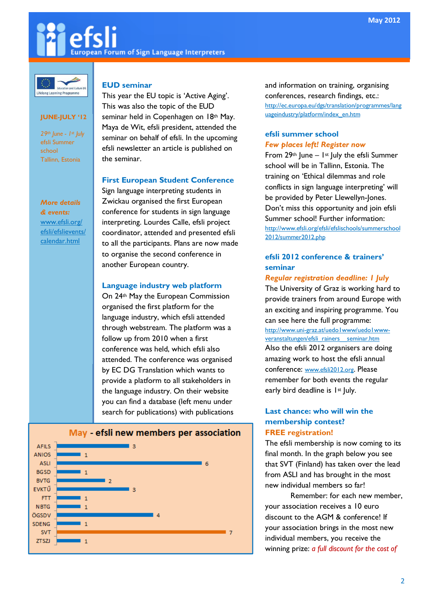# **European Forum of Sign Language Interpreters**



#### JUNE-JULY '12

29th June - 1st July efsli Summer school Tallinn, Estonia

More details & events: www.efsli.org/ efsli/efslievents/ calendar.html

#### EUD seminar

This year the EU topic is 'Active Aging'. This was also the topic of the EUD seminar held in Copenhagen on 18th May. Maya de Wit, efsli president, attended the seminar on behalf of efsli. In the upcoming efsli newsletter an article is published on the seminar.

#### First European Student Conference

Sign language interpreting students in Zwickau organised the first European conference for students in sign language interpreting. Lourdes Calle, efsli project coordinator, attended and presented efsli to all the participants. Plans are now made to organise the second conference in another European country.

#### Language industry web platform

On 24th May the European Commission organised the first platform for the language industry, which efsli attended through webstream. The platform was a follow up from 2010 when a first conference was held, which efsli also attended. The conference was organised by EC DG Translation which wants to provide a platform to all stakeholders in the language industry. On their website you can find a database (left menu under search for publications) with publications



#### May - efsli new members per association

and information on training, organising conferences, research findings, etc.: http://ec.europa.eu/dgs/translation/programmes/lang uageindustry/platform/index\_en.htm

#### efsli summer school Few places left! Register now

From  $29$ <sup>th</sup> June – 1<sup>st</sup> July the efsli Summer school will be in Tallinn, Estonia. The training on 'Ethical dilemmas and role conflicts in sign language interpreting' will be provided by Peter Llewellyn-Jones. Don't miss this opportunity and join efsli Summer school! Further information: http://www.efsli.org/efsli/efslischools/summerschool 2012/summer2012.php

## efsli 2012 conference & trainers' seminar

#### Regular registration deadline: 1 July

The University of Graz is working hard to provide trainers from around Europe with an exciting and inspiring programme. You can see here the full programme: http://www.uni-graz.at/uedo1www/uedo1wwwveranstaltungen/efsli\_rainers\_\_seminar.htm Also the efsli 2012 organisers are doing amazing work to host the efsli annual conference: www.efsli2012.org. Please remember for both events the regular early bird deadline is 1<sup>st</sup> July.

#### Last chance: who will win the membership contest? FREE registration!

The efsli membership is now coming to its final month. In the graph below you see that SVT (Finland) has taken over the lead from ASLI and has brought in the most new individual members so far!

Remember: for each new member, your association receives a 10 euro discount to the AGM & conference! If your association brings in the most new individual members, you receive the winning prize: a full discount for the cost of